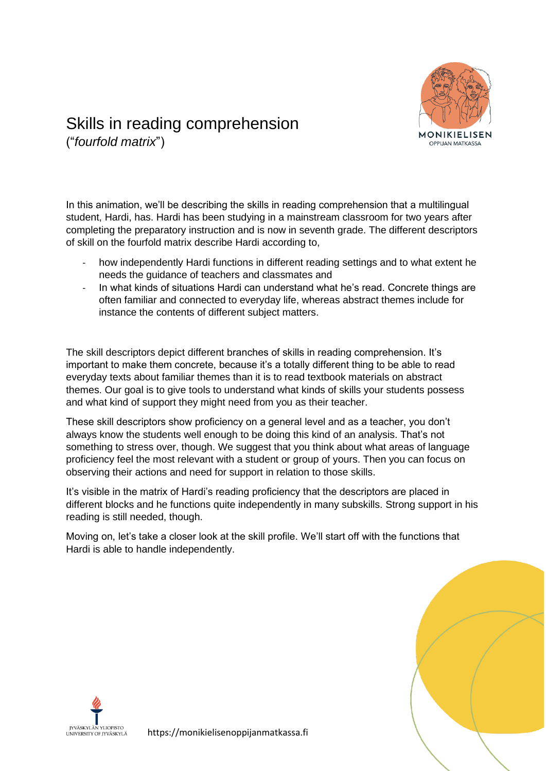

## Skills in reading comprehension

("*fourfold matrix*")

In this animation, we'll be describing the skills in reading comprehension that a multilingual student, Hardi, has. Hardi has been studying in a mainstream classroom for two years after completing the preparatory instruction and is now in seventh grade. The different descriptors of skill on the fourfold matrix describe Hardi according to,

- how independently Hardi functions in different reading settings and to what extent he needs the guidance of teachers and classmates and
- In what kinds of situations Hardi can understand what he's read. Concrete things are often familiar and connected to everyday life, whereas abstract themes include for instance the contents of different subject matters.

The skill descriptors depict different branches of skills in reading comprehension. It's important to make them concrete, because it's a totally different thing to be able to read everyday texts about familiar themes than it is to read textbook materials on abstract themes. Our goal is to give tools to understand what kinds of skills your students possess and what kind of support they might need from you as their teacher.

These skill descriptors show proficiency on a general level and as a teacher, you don't always know the students well enough to be doing this kind of an analysis. That's not something to stress over, though. We suggest that you think about what areas of language proficiency feel the most relevant with a student or group of yours. Then you can focus on observing their actions and need for support in relation to those skills.

It's visible in the matrix of Hardi's reading proficiency that the descriptors are placed in different blocks and he functions quite independently in many subskills. Strong support in his reading is still needed, though.

Moving on, let's take a closer look at the skill profile. We'll start off with the functions that Hardi is able to handle independently.



https://monikielisenoppijanmatkassa.fi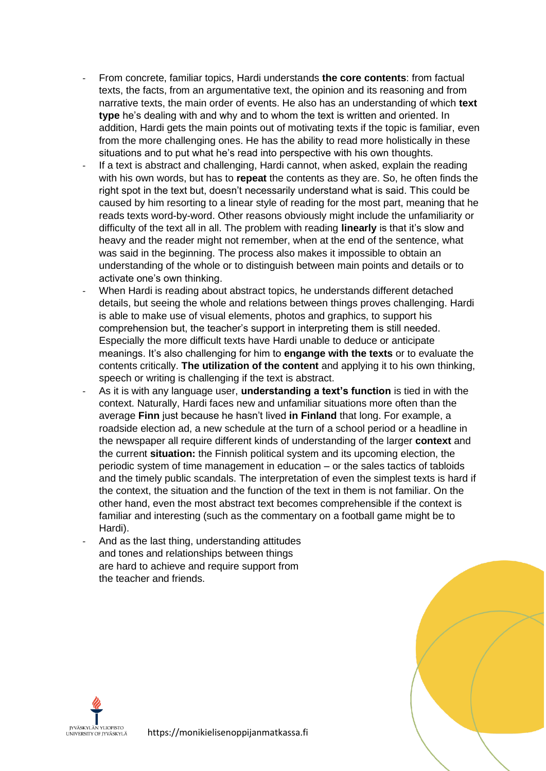- From concrete, familiar topics, Hardi understands **the core contents**: from factual texts, the facts, from an argumentative text, the opinion and its reasoning and from narrative texts, the main order of events. He also has an understanding of which **text type** he's dealing with and why and to whom the text is written and oriented. In addition, Hardi gets the main points out of motivating texts if the topic is familiar, even from the more challenging ones. He has the ability to read more holistically in these situations and to put what he's read into perspective with his own thoughts.
- If a text is abstract and challenging, Hardi cannot, when asked, explain the reading with his own words, but has to **repeat** the contents as they are. So, he often finds the right spot in the text but, doesn't necessarily understand what is said. This could be caused by him resorting to a linear style of reading for the most part, meaning that he reads texts word-by-word. Other reasons obviously might include the unfamiliarity or difficulty of the text all in all. The problem with reading **linearly** is that it's slow and heavy and the reader might not remember, when at the end of the sentence, what was said in the beginning. The process also makes it impossible to obtain an understanding of the whole or to distinguish between main points and details or to activate one's own thinking.
- When Hardi is reading about abstract topics, he understands different detached details, but seeing the whole and relations between things proves challenging. Hardi is able to make use of visual elements, photos and graphics, to support his comprehension but, the teacher's support in interpreting them is still needed. Especially the more difficult texts have Hardi unable to deduce or anticipate meanings. It's also challenging for him to **engange with the texts** or to evaluate the contents critically. **The utilization of the content** and applying it to his own thinking, speech or writing is challenging if the text is abstract.
- As it is with any language user, **understanding a text's function** is tied in with the context. Naturally, Hardi faces new and unfamiliar situations more often than the average **Finn** just because he hasn't lived **in Finland** that long. For example, a roadside election ad, a new schedule at the turn of a school period or a headline in the newspaper all require different kinds of understanding of the larger **context** and the current **situation:** the Finnish political system and its upcoming election, the periodic system of time management in education – or the sales tactics of tabloids and the timely public scandals. The interpretation of even the simplest texts is hard if the context, the situation and the function of the text in them is not familiar. On the other hand, even the most abstract text becomes comprehensible if the context is familiar and interesting (such as the commentary on a football game might be to Hardi).
- And as the last thing, understanding attitudes and tones and relationships between things are hard to achieve and require support from the teacher and friends.